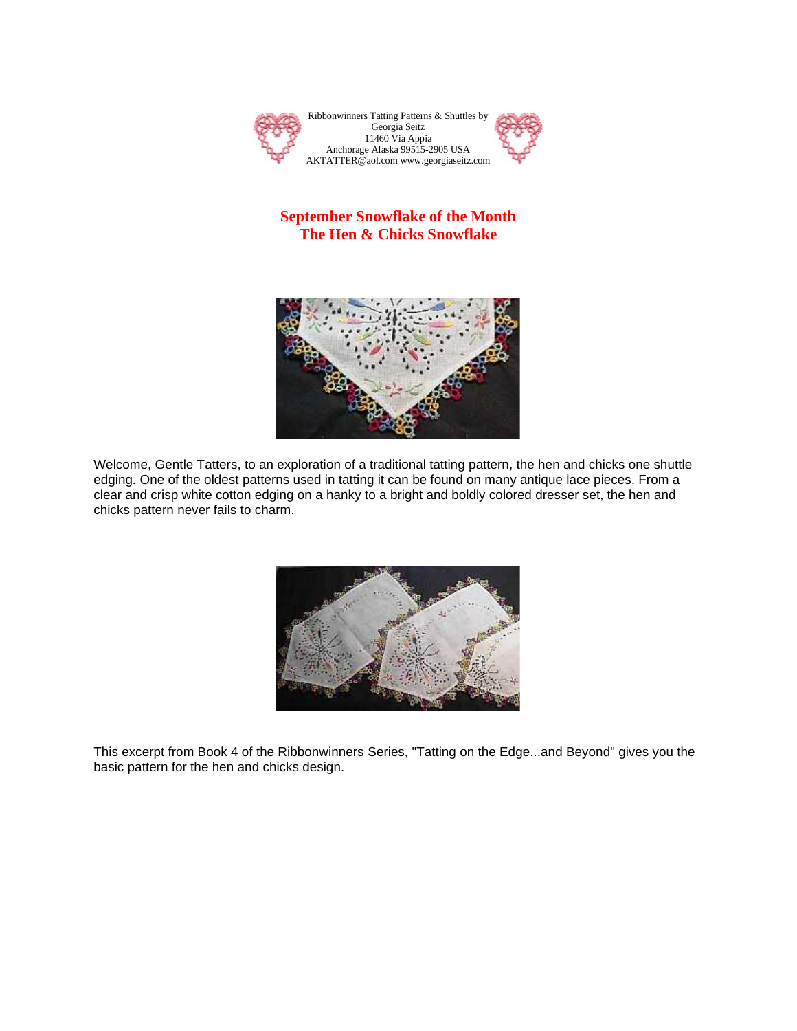

## **September Snowflake of the Month The Hen & Chicks Snowflake**



Welcome, Gentle Tatters, to an exploration of a traditional tatting pattern, the hen and chicks one shuttle edging. One of the oldest patterns used in tatting it can be found on many antique lace pieces. From a clear and crisp white cotton edging on a hanky to a bright and boldly colored dresser set, the hen and chicks pattern never fails to charm.



This excerpt from Book 4 of the Ribbonwinners Series, "Tatting on the Edge...and Beyond" gives you the basic pattern for the hen and chicks design.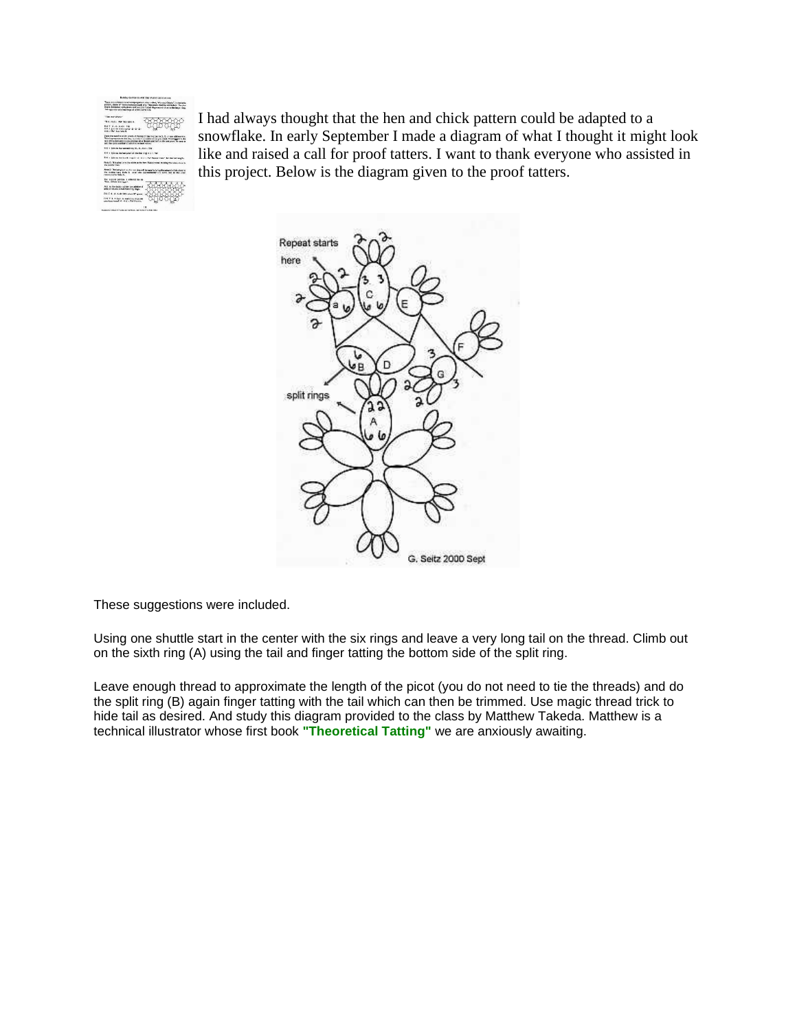

I had always thought that the hen and chick pattern could be adapted to a snowflake. In early September I made a diagram of what I thought it might look like and raised a call for proof tatters. I want to thank everyone who assisted in this project. Below is the diagram given to the proof tatters.



These suggestions were included.

Using one shuttle start in the center with the six rings and leave a very long tail on the thread. Climb out on the sixth ring (A) using the tail and finger tatting the bottom side of the split ring.

Leave enough thread to approximate the length of the picot (you do not need to tie the threads) and do the split ring (B) again finger tatting with the tail which can then be trimmed. Use magic thread trick to hide tail as desired. And study this diagram provided to the class by Matthew Takeda. Matthew is a technical illustrator whose first book **"Theoretical Tatting"** we are anxiously awaiting.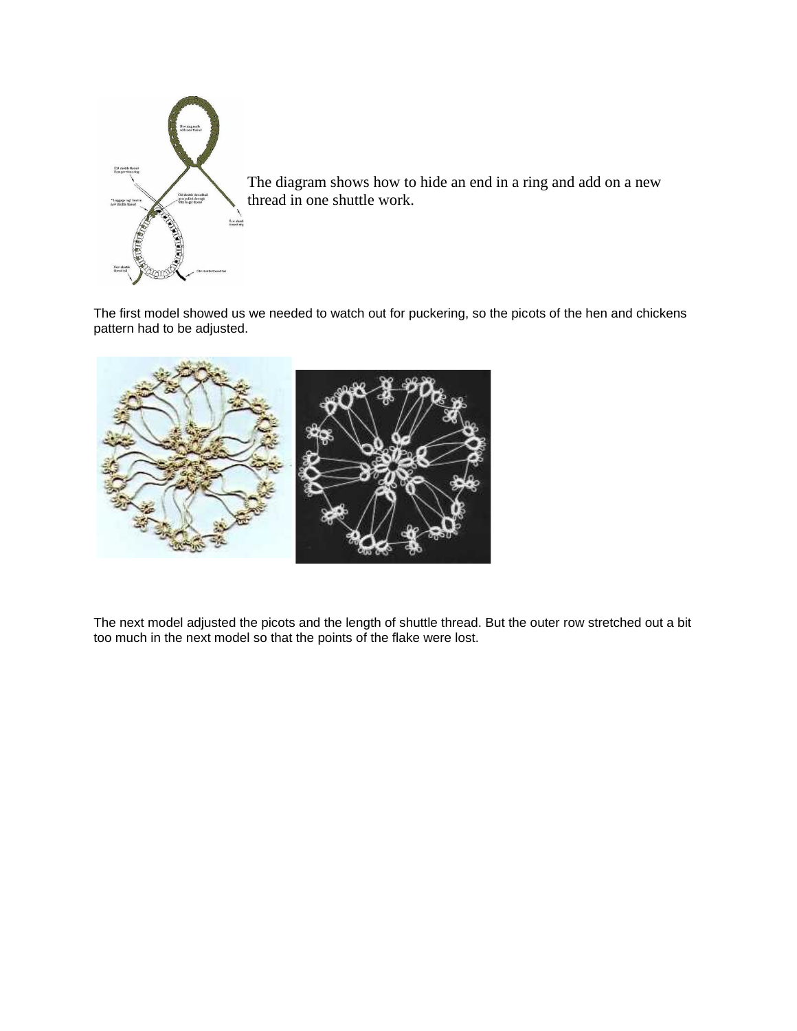

The diagram shows how to hide an end in a ring and add on a new thread in one shuttle work.

The first model showed us we needed to watch out for puckering, so the picots of the hen and chickens pattern had to be adjusted.



The next model adjusted the picots and the length of shuttle thread. But the outer row stretched out a bit too much in the next model so that the points of the flake were lost.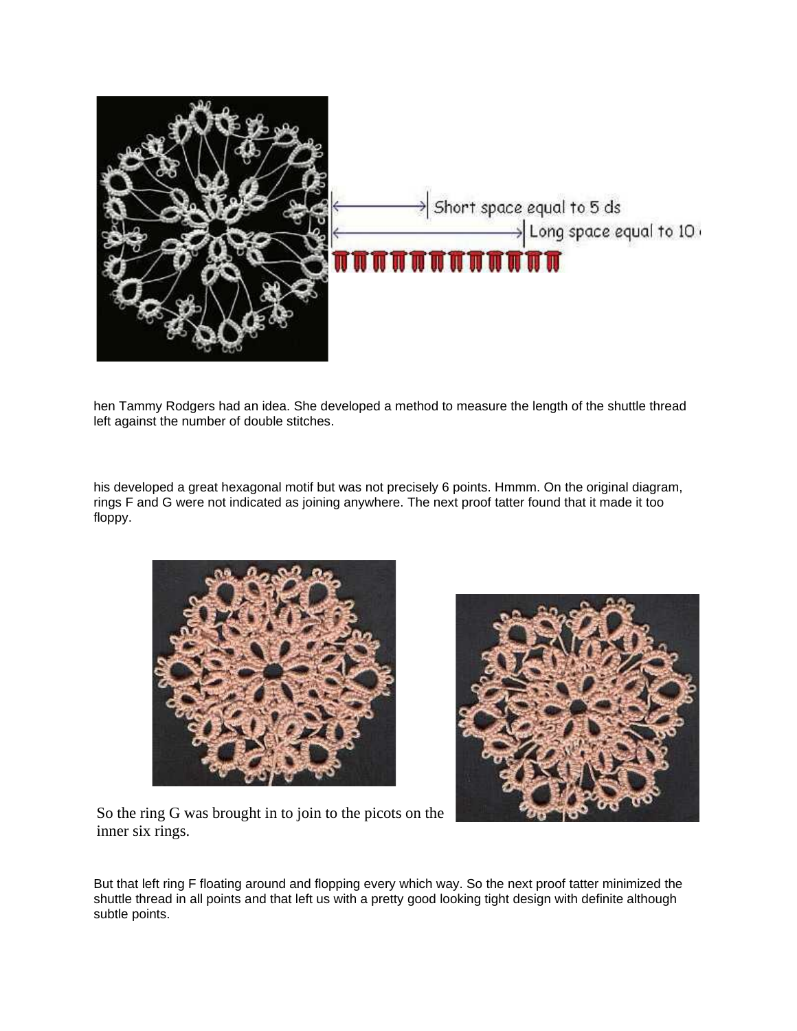

hen Tammy Rodgers had an idea. She developed a method to measure the length of the shuttle thread left against the number of double stitches.

his developed a great hexagonal motif but was not precisely 6 points. Hmmm. On the original diagram, rings F and G were not indicated as joining anywhere. The next proof tatter found that it made it too floppy.





So the ring G was brought in to join to the picots on the inner six rings.

But that left ring F floating around and flopping every which way. So the next proof tatter minimized the shuttle thread in all points and that left us with a pretty good looking tight design with definite although subtle points.